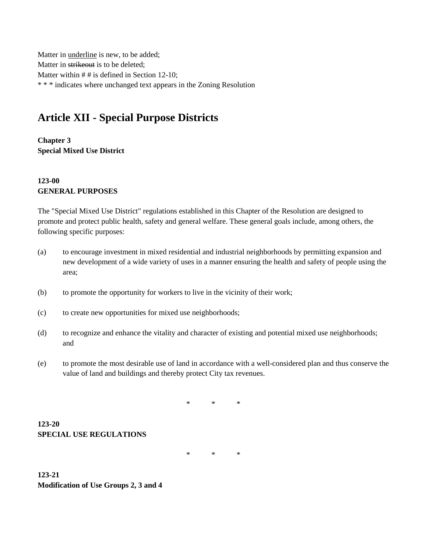Matter in underline is new, to be added; Matter in strikeout is to be deleted; Matter within # # is defined in Section 12-10; \* \* \* indicates where unchanged text appears in the Zoning Resolution

# **Article XII - Special Purpose Districts**

**Chapter 3 Special Mixed Use District**

## **123-00 GENERAL PURPOSES**

The "Special Mixed Use District" regulations established in this Chapter of the Resolution are designed to promote and protect public health, safety and general welfare. These general goals include, among others, the following specific purposes:

- (a) to encourage investment in mixed residential and industrial neighborhoods by permitting expansion and new development of a wide variety of uses in a manner ensuring the health and safety of people using the area;
- (b) to promote the opportunity for workers to live in the vicinity of their work;
- (c) to create new opportunities for mixed use neighborhoods;
- (d) to recognize and enhance the vitality and character of existing and potential mixed use neighborhoods; and
- (e) to promote the most desirable use of land in accordance with a well-considered plan and thus conserve the value of land and buildings and thereby protect City tax revenues.

\* \* \*

**123-20 SPECIAL USE REGULATIONS**

\* \* \*

**123-21 Modification of Use Groups 2, 3 and 4**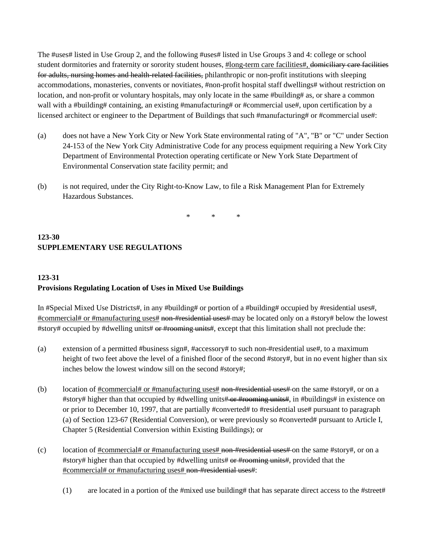The #uses# listed in Use Group 2, and the following #uses# listed in Use Groups 3 and 4: college or school student dormitories and fraternity or sorority student houses, #long-term care facilities#, domiciliary care facilities for adults, nursing homes and health-related facilities, philanthropic or non-profit institutions with sleeping accommodations, monasteries, convents or novitiates, #non-profit hospital staff dwellings# without restriction on location, and non-profit or voluntary hospitals, may only locate in the same #building# as, or share a common wall with a #building# containing, an existing #manufacturing# or #commercial use#, upon certification by a licensed architect or engineer to the Department of Buildings that such #manufacturing# or #commercial use#:

- (a) does not have a New York City or New York State environmental rating of "A", "B" or "C" under Section 24-153 of the New York City Administrative Code for any process equipment requiring a New York City Department of Environmental Protection operating certificate or New York State Department of Environmental Conservation state facility permit; and
- (b) is not required, under the City Right-to-Know Law, to file a Risk Management Plan for Extremely Hazardous Substances.

\* \* \*

# **123-30 SUPPLEMENTARY USE REGULATIONS**

### **123-31 Provisions Regulating Location of Uses in Mixed Use Buildings**

In #Special Mixed Use Districts#, in any #building# or portion of a #building# occupied by #residential uses#, #commercial# or #manufacturing uses# non-#residential uses# may be located only on a #story# below the lowest #story# occupied by #dwelling units# or #rooming units#, except that this limitation shall not preclude the:

- (a) extension of a permitted #business sign#, #accessory# to such non-#residential use#, to a maximum height of two feet above the level of a finished floor of the second #story#, but in no event higher than six inches below the lowest window sill on the second #story#;
- (b) location of #commercial# or #manufacturing uses# non-#residential uses# on the same #story#, or on a #story# higher than that occupied by #dwelling units# or #rooming units#, in #buildings# in existence on or prior to December 10, 1997, that are partially #converted# to #residential use# pursuant to paragraph (a) of Section 123-67 (Residential Conversion), or were previously so #converted# pursuant to Article I, Chapter 5 (Residential Conversion within Existing Buildings); or
- (c) location of #commercial# or #manufacturing uses# non-#residential uses# on the same #story#, or on a #story# higher than that occupied by #dwelling units# or #rooming units#, provided that the #commercial# or #manufacturing uses# non #residential uses#:
	- (1) are located in a portion of the #mixed use building# that has separate direct access to the #street#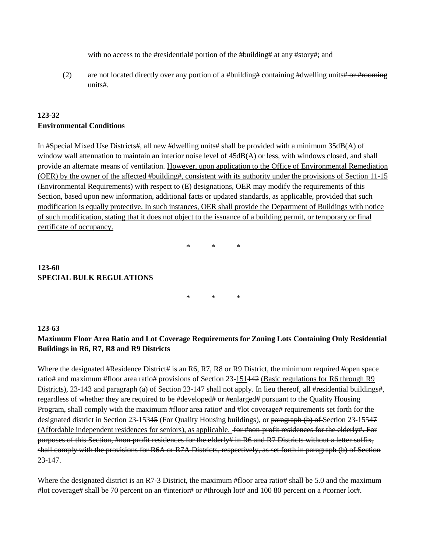with no access to the #residential# portion of the #building# at any #story#; and

(2) are not located directly over any portion of a #building# containing #dwelling units# or #rooming units#.

#### **123-32 Environmental Conditions**

In #Special Mixed Use Districts#, all new #dwelling units# shall be provided with a minimum 35dB(A) of window wall attenuation to maintain an interior noise level of  $45dB(A)$  or less, with windows closed, and shall provide an alternate means of ventilation. However, upon application to the Office of Environmental Remediation (OER) by the owner of the affected #building#, consistent with its authority under the provisions of Section 11-15 (Environmental Requirements) with respect to (E) designations, OER may modify the requirements of this Section, based upon new information, additional facts or updated standards, as applicable, provided that such modification is equally protective. In such instances, OER shall provide the Department of Buildings with notice of such modification, stating that it does not object to the issuance of a building permit, or temporary or final certificate of occupancy.

\* \* \*

#### **123-60 SPECIAL BULK REGULATIONS**

\* \* \*

#### **123-63**

#### **Maximum Floor Area Ratio and Lot Coverage Requirements for Zoning Lots Containing Only Residential Buildings in R6, R7, R8 and R9 Districts**

Where the designated #Residence District# is an R6, R7, R8 or R9 District, the minimum required #open space ratio# and maximum #floor area ratio# provisions of Section 23-151442 (Basic regulations for R6 through R9 Districts), 23-143 and paragraph (a) of Section 23-147 shall not apply. In lieu thereof, all #residential buildings#, regardless of whether they are required to be #developed# or #enlarged# pursuant to the Quality Housing Program, shall comply with the maximum #floor area ratio# and #lot coverage# requirements set forth for the designated district in Section 23-15345 (For Quality Housing buildings), or paragraph (b) of Section 23-15547 (Affordable independent residences for seniors), as applicable. <del>for #non-profit residences for the elderly#. For</del> purposes of this Section, #non-profit residences for the elderly# in R6 and R7 Districts without a letter suffix, shall comply with the provisions for R6A or R7A Districts, respectively, as set forth in paragraph (b) of Section 23-147.

Where the designated district is an R7-3 District, the maximum #floor area ratio# shall be 5.0 and the maximum #lot coverage# shall be 70 percent on an #interior# or #through lot# and  $100.80$  percent on a #corner lot#.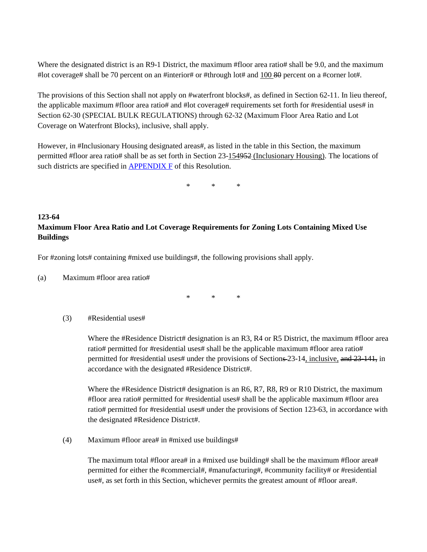Where the designated district is an R9-1 District, the maximum #floor area ratio# shall be 9.0, and the maximum #lot coverage# shall be 70 percent on an #interior# or #through lot# and 100 80 percent on a #corner lot#.

The provisions of this Section shall not apply on #waterfront blocks#, as defined in Section 62-11. In lieu thereof, the applicable maximum #floor area ratio# and #lot coverage# requirements set forth for #residential uses# in Section 62-30 (SPECIAL BULK REGULATIONS) through 62-32 (Maximum Floor Area Ratio and Lot Coverage on Waterfront Blocks), inclusive, shall apply.

However, in #Inclusionary Housing designated areas#, as listed in the table in this Section, the maximum permitted #floor area ratio# shall be as set forth in Section 23-154952 (Inclusionary Housing). The locations of such districts are specified in  $APPENDIX F$  of this Resolution.

\* \* \*

#### **123-64 Maximum Floor Area Ratio and Lot Coverage Requirements for Zoning Lots Containing Mixed Use Buildings**

For #zoning lots# containing #mixed use buildings#, the following provisions shall apply.

(a) Maximum #floor area ratio#

\* \* \*

#### (3) #Residential uses#

Where the #Residence District# designation is an R3, R4 or R5 District, the maximum #floor area ratio# permitted for #residential uses# shall be the applicable maximum #floor area ratio# permitted for #residential uses# under the provisions of Sections-23-14, inclusive, and 23-141, in accordance with the designated #Residence District#.

Where the #Residence District# designation is an R6, R7, R8, R9 or R10 District, the maximum #floor area ratio# permitted for #residential uses# shall be the applicable maximum #floor area ratio# permitted for #residential uses# under the provisions of Section 123-63, in accordance with the designated #Residence District#.

(4) Maximum #floor area# in #mixed use buildings#

The maximum total #floor area# in a #mixed use building# shall be the maximum #floor area# permitted for either the #commercial#, #manufacturing#, #community facility# or #residential use#, as set forth in this Section, whichever permits the greatest amount of #floor area#.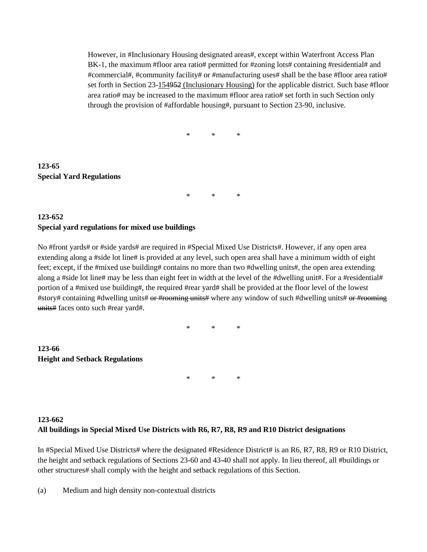However, in #Inclusionary Housing designated areas#, except within Waterfront Access Plan BK-1, the maximum #floor area ratio# permitted for #zoning lots# containing #residential# and #commercial#, #community facility# or #manufacturing uses# shall be the base #floor area ratio# set forth in Section 23-154952 (Inclusionary Housing) for the applicable district. Such base #floor area ratio# may be increased to the maximum #floor area ratio# set forth in such Section only through the provision of #affordable housing#, pursuant to Section 23-90, inclusive.

\* \* \*

## **123-65 Special Yard Regulations**

\* \* \*

#### **123-652 Special yard regulations for mixed use buildings**

No #front yards# or #side yards# are required in #Special Mixed Use Districts#. However, if any open area extending along a #side lot line# is provided at any level, such open area shall have a minimum width of eight feet; except, if the #mixed use building# contains no more than two #dwelling units#, the open area extending along a #side lot line# may be less than eight feet in width at the level of the #dwelling unit#. For a #residential# portion of a #mixed use building#, the required #rear yard# shall be provided at the floor level of the lowest #story# containing #dwelling units# or #rooming units# where any window of such #dwelling units# or #rooming units# faces onto such #rear yard#.

\* \* \*

**123-66 Height and Setback Regulations**

\* \* \*

# **123-662 All buildings in Special Mixed Use Districts with R6, R7, R8, R9 and R10 District designations**

In #Special Mixed Use Districts# where the designated #Residence District# is an R6, R7, R8, R9 or R10 District, the height and setback regulations of Sections 23-60 and 43-40 shall not apply. In lieu thereof, all #buildings or other structures# shall comply with the height and setback regulations of this Section.

(a) Medium and high density non-contextual districts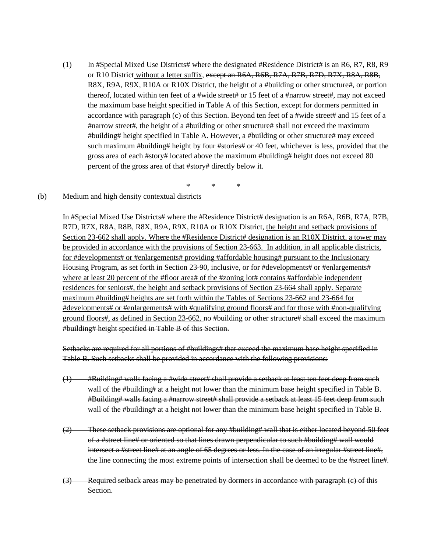(1) In #Special Mixed Use Districts# where the designated #Residence District# is an R6, R7, R8, R9 or R10 District without a letter suffix, except an R6A, R6B, R7A, R7B, R7D, R7X, R8A, R8B, R8X, R9A, R9X, R10A or R10X District, the height of a #building or other structure#, or portion thereof, located within ten feet of a #wide street# or 15 feet of a #narrow street#, may not exceed the maximum base height specified in Table A of this Section, except for dormers permitted in accordance with paragraph (c) of this Section. Beyond ten feet of a #wide street# and 15 feet of a #narrow street#, the height of a #building or other structure# shall not exceed the maximum #building# height specified in Table A. However, a #building or other structure# may exceed such maximum #building# height by four #stories# or 40 feet, whichever is less, provided that the gross area of each #story# located above the maximum #building# height does not exceed 80 percent of the gross area of that #story# directly below it.

\* \* \*

#### (b) Medium and high density contextual districts

In #Special Mixed Use Districts# where the #Residence District# designation is an R6A, R6B, R7A, R7B, R7D, R7X, R8A, R8B, R8X, R9A, R9X, R10A or R10X District, the height and setback provisions of Section 23-662 shall apply. Where the #Residence District# designation is an R10X District, a tower may be provided in accordance with the provisions of Section 23-663. In addition, in all applicable districts, for #developments# or #enlargements# providing #affordable housing# pursuant to the Inclusionary Housing Program, as set forth in Section 23-90, inclusive, or for #developments# or #enlargements# where at least 20 percent of the #floor area# of the #zoning lot# contains #affordable independent residences for seniors#, the height and setback provisions of Section 23-664 shall apply. Separate maximum #building# heights are set forth within the Tables of Sections 23-662 and 23-664 for #developments# or #enlargements# with #qualifying ground floors# and for those with #non-qualifying ground floors#, as defined in Section 23-662. no #building or other structure# shall exceed the maximum #building# height specified in Table B of this Section.

Setbacks are required for all portions of #buildings# that exceed the maximum base height specified in Table B. Such setbacks shall be provided in accordance with the following provisions:

- (1) #Building# walls facing a #wide street# shall provide a setback at least ten feet deep from such wall of the #building# at a height not lower than the minimum base height specified in Table B. #Building# walls facing a #narrow street# shall provide a setback at least 15 feet deep from such wall of the #building# at a height not lower than the minimum base height specified in Table B.
- (2) These setback provisions are optional for any #building# wall that is either located beyond 50 feet of a #street line# or oriented so that lines drawn perpendicular to such #building# wall would intersect a #street line# at an angle of 65 degrees or less. In the case of an irregular #street line#, the line connecting the most extreme points of intersection shall be deemed to be the #street line#.
- (3) Required setback areas may be penetrated by dormers in accordance with paragraph (c) of this Section.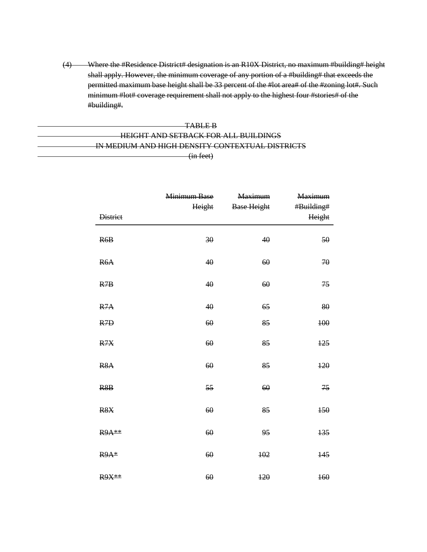(4) Where the #Residence District# designation is an R10X District, no maximum #building# height shall apply. However, the minimum coverage of any portion of a #building# that exceeds the permitted maximum base height shall be 33 percent of the #lot area# of the #zoning lot#. Such minimum #lot# coverage requirement shall not apply to the highest four #stories# of the #building#.

#### TABLE B HEIGHT AND SETBACK FOR ALL BUILDINGS IN MEDIUM AND HIGH DENSITY CONTEXTUAL DISTRICTS (in feet)

| <b>District</b>  | Minimum Base<br>Height | <b>Maximum</b><br><b>Base Height</b> | Maximum<br>#Building#<br>Height |
|------------------|------------------------|--------------------------------------|---------------------------------|
| R6B              | 30                     | 40                                   | 50                              |
| R <sub>6</sub> A | 40                     | 60                                   | 70                              |
| R7B              | 40                     | 60                                   | 75                              |
| R7A              | 40                     | 65                                   | 80                              |
| R <sub>7D</sub>  | 60                     | 85                                   | 100                             |
| R7X              | 60                     | 85                                   | 125                             |
| R <sub>8</sub> A | 60                     | 85                                   | 120                             |
| R8B              | 55                     | 60                                   | 75                              |
| R <sub>8</sub> X | 60                     | 85                                   | 150                             |
| R9A**            | 60                     | 95                                   | 135                             |
| R9A*             | 60                     | 102                                  | 145                             |
| <b>R9X**</b>     | 60                     | 120                                  | 160                             |